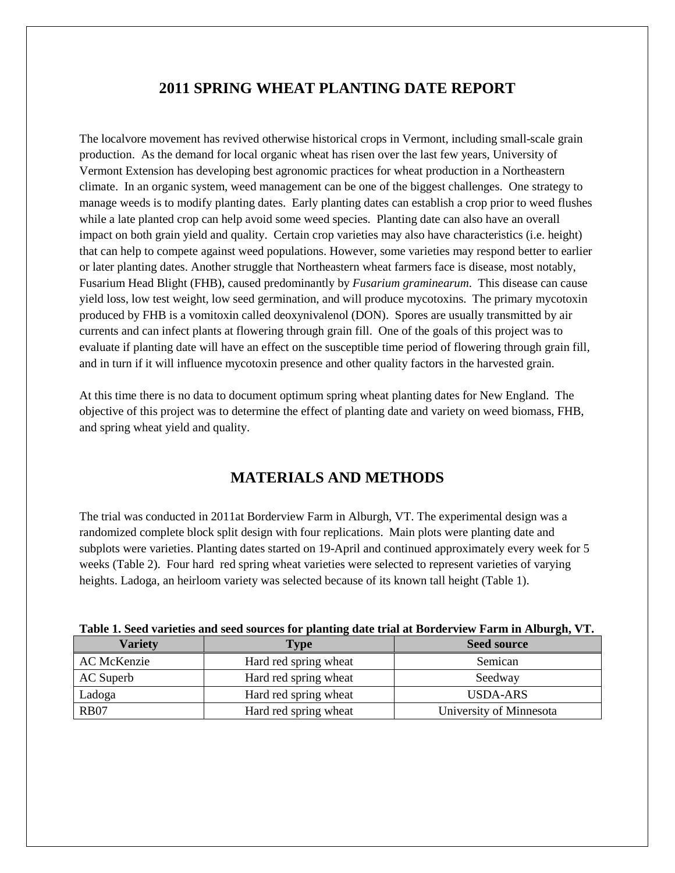# **2011 SPRING WHEAT PLANTING DATE REPORT**

The localvore movement has revived otherwise historical crops in Vermont, including small-scale grain production. As the demand for local organic wheat has risen over the last few years, University of Vermont Extension has developing best agronomic practices for wheat production in a Northeastern climate. In an organic system, weed management can be one of the biggest challenges. One strategy to manage weeds is to modify planting dates. Early planting dates can establish a crop prior to weed flushes while a late planted crop can help avoid some weed species. Planting date can also have an overall impact on both grain yield and quality. Certain crop varieties may also have characteristics (i.e. height) that can help to compete against weed populations. However, some varieties may respond better to earlier or later planting dates. Another struggle that Northeastern wheat farmers face is disease, most notably, Fusarium Head Blight (FHB), caused predominantly by *Fusarium graminearum*. This disease can cause yield loss, low test weight, low seed germination, and will produce mycotoxins. The primary mycotoxin produced by FHB is a vomitoxin called deoxynivalenol (DON). Spores are usually transmitted by air currents and can infect plants at flowering through grain fill. One of the goals of this project was to evaluate if planting date will have an effect on the susceptible time period of flowering through grain fill, and in turn if it will influence mycotoxin presence and other quality factors in the harvested grain.

At this time there is no data to document optimum spring wheat planting dates for New England. The objective of this project was to determine the effect of planting date and variety on weed biomass, FHB, and spring wheat yield and quality.

# **MATERIALS AND METHODS**

The trial was conducted in 2011at Borderview Farm in Alburgh, VT. The experimental design was a randomized complete block split design with four replications. Main plots were planting date and subplots were varieties. Planting dates started on 19-April and continued approximately every week for 5 weeks (Table 2). Four hard red spring wheat varieties were selected to represent varieties of varying heights. Ladoga, an heirloom variety was selected because of its known tall height (Table 1).

| Tuble 1) been varietles and seed sources for planting unte trun at Doruer view I arm in thour gia v I t |                       |                         |  |
|---------------------------------------------------------------------------------------------------------|-----------------------|-------------------------|--|
| <b>Variety</b>                                                                                          | Type                  | <b>Seed source</b>      |  |
| AC McKenzie                                                                                             | Hard red spring wheat | Semican                 |  |
| AC Superb                                                                                               | Hard red spring wheat | Seedway                 |  |
| Ladoga                                                                                                  | Hard red spring wheat | USDA-ARS                |  |
| <b>RB07</b>                                                                                             | Hard red spring wheat | University of Minnesota |  |

| Table 1. Seed varieties and seed sources for planting date trial at Borderview Farm in Alburgh, VT. |  |  |
|-----------------------------------------------------------------------------------------------------|--|--|
|-----------------------------------------------------------------------------------------------------|--|--|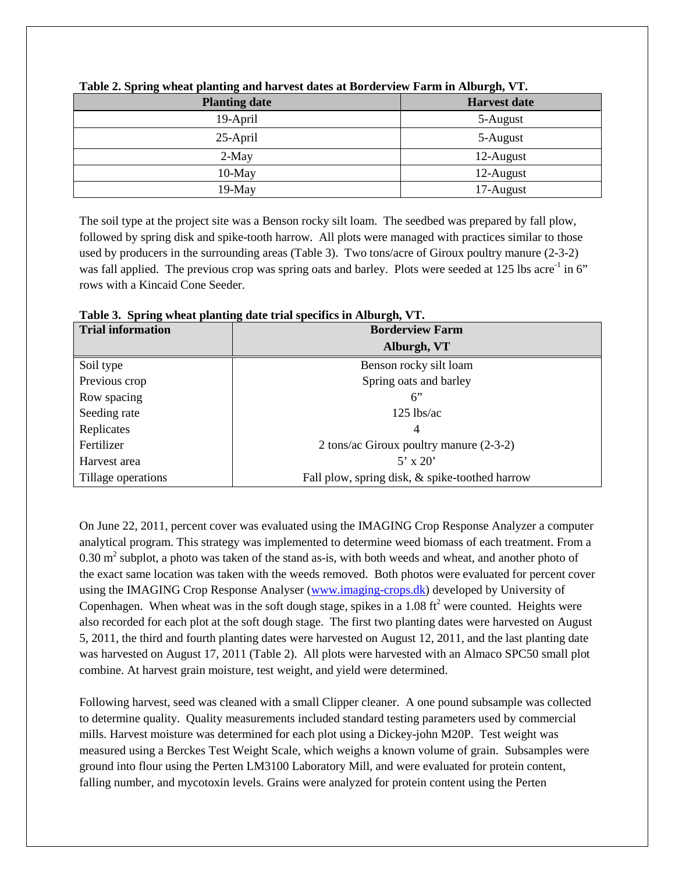| <b>Planting date</b> | <b>Harvest date</b> |
|----------------------|---------------------|
| 19-April             | 5-August            |
| $25$ -April          | 5-August            |
| $2-May$              | 12-August           |
| $10$ -May            | 12-August           |
| $19-May$             | 17-August           |

**Table 2. Spring wheat planting and harvest dates at Borderview Farm in Alburgh, VT.**

The soil type at the project site was a Benson rocky silt loam. The seedbed was prepared by fall plow, followed by spring disk and spike-tooth harrow. All plots were managed with practices similar to those used by producers in the surrounding areas (Table 3). Two tons/acre of Giroux poultry manure (2-3-2) was fall applied. The previous crop was spring oats and barley. Plots were seeded at  $125$  lbs acre<sup>-1</sup> in 6" rows with a Kincaid Cone Seeder.

| <b>Trial information</b> | <b>Borderview Farm</b>                         |  |
|--------------------------|------------------------------------------------|--|
|                          | Alburgh, VT                                    |  |
| Soil type                | Benson rocky silt loam                         |  |
| Previous crop            | Spring oats and barley                         |  |
| Row spacing              | 6"                                             |  |
| Seeding rate             | $125$ lbs/ac                                   |  |
| Replicates               | 4                                              |  |
| Fertilizer               | 2 tons/ac Giroux poultry manure (2-3-2)        |  |
| Harvest area             | $5'$ x 20'                                     |  |
| Tillage operations       | Fall plow, spring disk, & spike-toothed harrow |  |

**Table 3. Spring wheat planting date trial specifics in Alburgh, VT.**

On June 22, 2011, percent cover was evaluated using the IMAGING Crop Response Analyzer a computer analytical program. This strategy was implemented to determine weed biomass of each treatment. From a  $0.30$  m<sup>2</sup> subplot, a photo was taken of the stand as-is, with both weeds and wheat, and another photo of the exact same location was taken with the weeds removed. Both photos were evaluated for percent cover using the IMAGING Crop Response Analyser [\(www.imaging-crops.dk\)](http://www.imaging-crops.dk/) developed by University of Copenhagen. When wheat was in the soft dough stage, spikes in a  $1.08 \text{ ft}^2$  were counted. Heights were also recorded for each plot at the soft dough stage. The first two planting dates were harvested on August 5, 2011, the third and fourth planting dates were harvested on August 12, 2011, and the last planting date was harvested on August 17, 2011 (Table 2). All plots were harvested with an Almaco SPC50 small plot combine. At harvest grain moisture, test weight, and yield were determined.

Following harvest, seed was cleaned with a small Clipper cleaner. A one pound subsample was collected to determine quality. Quality measurements included standard testing parameters used by commercial mills. Harvest moisture was determined for each plot using a Dickey-john M20P. Test weight was measured using a Berckes Test Weight Scale, which weighs a known volume of grain. Subsamples were ground into flour using the Perten LM3100 Laboratory Mill, and were evaluated for protein content, falling number, and mycotoxin levels. Grains were analyzed for protein content using the Perten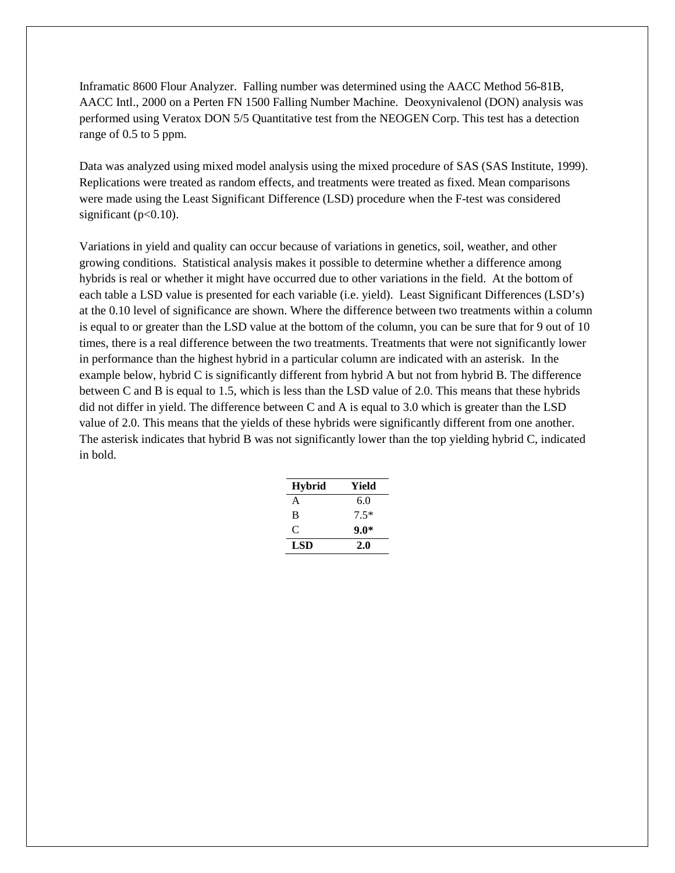Inframatic 8600 Flour Analyzer. Falling number was determined using the AACC Method 56-81B, AACC Intl., 2000 on a Perten FN 1500 Falling Number Machine. Deoxynivalenol (DON) analysis was performed using Veratox DON 5/5 Quantitative test from the NEOGEN Corp. This test has a detection range of 0.5 to 5 ppm.

Data was analyzed using mixed model analysis using the mixed procedure of SAS (SAS Institute, 1999). Replications were treated as random effects, and treatments were treated as fixed. Mean comparisons were made using the Least Significant Difference (LSD) procedure when the F-test was considered significant ( $p<0.10$ ).

Variations in yield and quality can occur because of variations in genetics, soil, weather, and other growing conditions. Statistical analysis makes it possible to determine whether a difference among hybrids is real or whether it might have occurred due to other variations in the field. At the bottom of each table a LSD value is presented for each variable (i.e. yield). Least Significant Differences (LSD's) at the 0.10 level of significance are shown. Where the difference between two treatments within a column is equal to or greater than the LSD value at the bottom of the column, you can be sure that for 9 out of 10 times, there is a real difference between the two treatments. Treatments that were not significantly lower in performance than the highest hybrid in a particular column are indicated with an asterisk. In the example below, hybrid C is significantly different from hybrid A but not from hybrid B. The difference between C and B is equal to 1.5, which is less than the LSD value of 2.0. This means that these hybrids did not differ in yield. The difference between C and A is equal to 3.0 which is greater than the LSD value of 2.0. This means that the yields of these hybrids were significantly different from one another. The asterisk indicates that hybrid B was not significantly lower than the top yielding hybrid C, indicated in bold.

| <b>Hybrid</b> | Yield  |
|---------------|--------|
| A             | 6.0    |
| B             | $7.5*$ |
| C             | $9.0*$ |
| LSD           | 2.0    |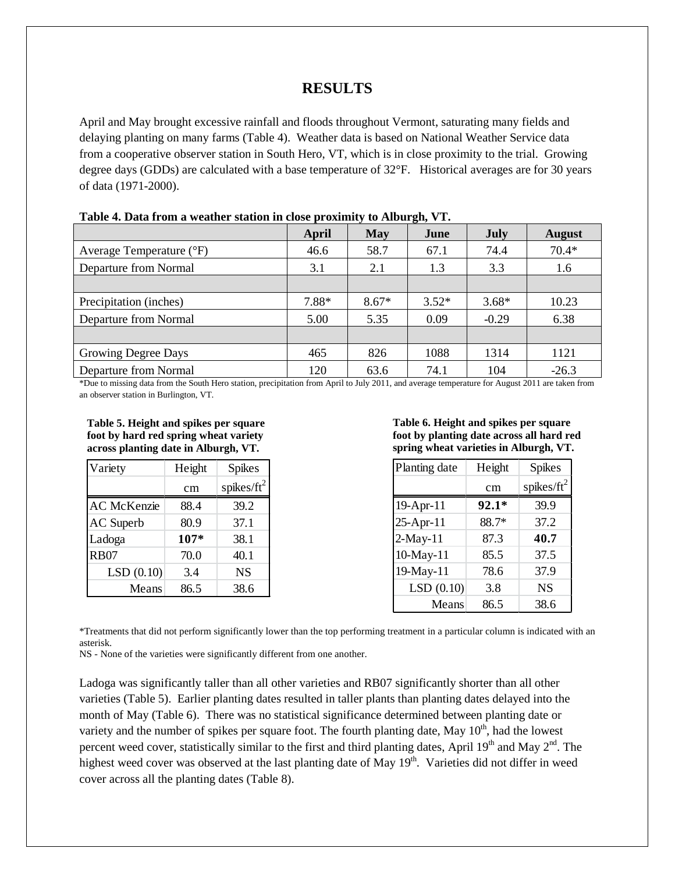## **RESULTS**

April and May brought excessive rainfall and floods throughout Vermont, saturating many fields and delaying planting on many farms (Table 4). Weather data is based on National Weather Service data from a cooperative observer station in South Hero, VT, which is in close proximity to the trial. Growing degree days (GDDs) are calculated with a base temperature of 32°F. Historical averages are for 30 years of data (1971-2000).

| Table 4. Data II um a weather station in close proximity to Alburgh, V T. |       |         |         |             |               |
|---------------------------------------------------------------------------|-------|---------|---------|-------------|---------------|
|                                                                           | April | May     | June    | <b>July</b> | <b>August</b> |
| Average Temperature (°F)                                                  | 46.6  | 58.7    | 67.1    | 74.4        | $70.4*$       |
| Departure from Normal                                                     | 3.1   | 2.1     | 1.3     | 3.3         | 1.6           |
|                                                                           |       |         |         |             |               |
| Precipitation (inches)                                                    | 7.88* | $8.67*$ | $3.52*$ | $3.68*$     | 10.23         |
| Departure from Normal                                                     | 5.00  | 5.35    | 0.09    | $-0.29$     | 6.38          |
|                                                                           |       |         |         |             |               |
| Growing Degree Days                                                       | 465   | 826     | 1088    | 1314        | 1121          |
| Departure from Normal                                                     | 120   | 63.6    | 74.1    | 104         | $-26.3$       |

| Table 4. Data from a weather station in close proximity to Alburgh, VT. |  |
|-------------------------------------------------------------------------|--|
|-------------------------------------------------------------------------|--|

\*Due to missing data from the South Hero station, precipitation from April to July 2011, and average temperature for August 2011 are taken from an observer station in Burlington, VT.

**Table 5. Height and spikes per square foot by hard red spring wheat variety across planting date in Alburgh, VT.**

| Variety            | Height | <b>Spikes</b>  |
|--------------------|--------|----------------|
|                    | cm     | spikes/ $ft^2$ |
| <b>AC</b> McKenzie | 88.4   | 39.2           |
| <b>AC</b> Superb   | 80.9   | 37.1           |
| Ladoga             | 107*   | 38.1           |
| <b>RB07</b>        | 70.0   | 40.1           |
| LSD(0.10)          | 3.4    | <b>NS</b>      |
| Means              | 86.5   | 38.6           |

**Table 6. Height and spikes per square foot by planting date across all hard red spring wheat varieties in Alburgh, VT.**

| Planting date | Height  | <b>Spikes</b>  |
|---------------|---------|----------------|
|               | cm      | spikes/ $ft^2$ |
| 19-Apr-11     | $92.1*$ | 39.9           |
| 25-Apr-11     | 88.7*   | 37.2           |
| $2-May-11$    | 87.3    | 40.7           |
| 10-May-11     | 85.5    | 37.5           |
| 19-May-11     | 78.6    | 37.9           |
| LSD(0.10)     | 3.8     | <b>NS</b>      |
| Means         | 86.5    | 38.6           |

\*Treatments that did not perform significantly lower than the top performing treatment in a particular column is indicated with an asterisk.

NS - None of the varieties were significantly different from one another.

Ladoga was significantly taller than all other varieties and RB07 significantly shorter than all other varieties (Table 5). Earlier planting dates resulted in taller plants than planting dates delayed into the month of May (Table 6). There was no statistical significance determined between planting date or variety and the number of spikes per square foot. The fourth planting date, May  $10<sup>th</sup>$ , had the lowest percent weed cover, statistically similar to the first and third planting dates, April  $19<sup>th</sup>$  and May  $2<sup>nd</sup>$ . The highest weed cover was observed at the last planting date of May  $19<sup>th</sup>$ . Varieties did not differ in weed cover across all the planting dates (Table 8).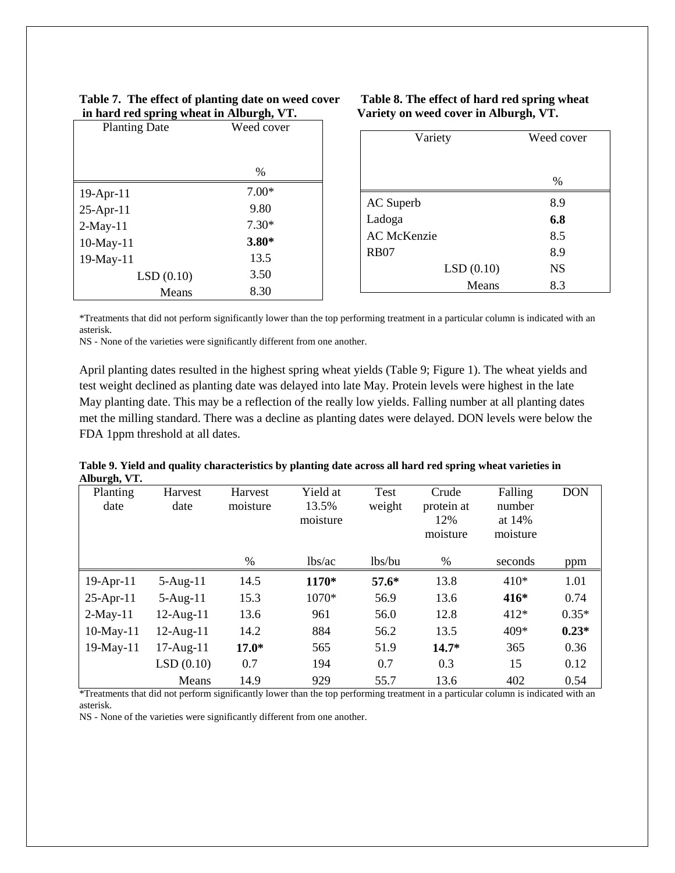| Table 7. The effect of planting date on weed cover |
|----------------------------------------------------|
| in hard red spring wheat in Alburgh, VT.           |

25-Apr-11 9.80 2-May-11 7.30\* 10-May-11 **3.80\*** 19-May-11 13.5

| in hard red spring wheat in Alburgh, VT. | Variety on weed o |        |
|------------------------------------------|-------------------|--------|
| <b>Planting Date</b>                     | Weed cover        | Variet |
|                                          | $\frac{0}{0}$     |        |
| $19$ -Apr- $11$                          | 7.00*             |        |

#### Table 8. The effect of hard red spring wheat **in hard red spring wheat in Alburgh, VT. Variety on weed cover in Alburgh, VT.**

| Variety            | Weed cover |
|--------------------|------------|
|                    |            |
|                    | $\%$       |
| AC Superb          | 8.9        |
| Ladoga             | 6.8        |
| <b>AC</b> McKenzie | 8.5        |
| <b>RB07</b>        | 8.9        |
| LSD(0.10)          | <b>NS</b>  |
| Means              | 8.3        |

\*Treatments that did not perform significantly lower than the top performing treatment in a particular column is indicated with an asterisk.

NS - None of the varieties were significantly different from one another.

LSD (0.10) 3.50 Means 8.30

April planting dates resulted in the highest spring wheat yields (Table 9; Figure 1). The wheat yields and test weight declined as planting date was delayed into late May. Protein levels were highest in the late May planting date. This may be a reflection of the really low yields. Falling number at all planting dates met the milling standard. There was a decline as planting dates were delayed. DON levels were below the FDA 1ppm threshold at all dates.

|              |  |  | Table 9. Yield and quality characteristics by planting date across all hard red spring wheat varieties in |  |
|--------------|--|--|-----------------------------------------------------------------------------------------------------------|--|
| Alburgh, VT. |  |  |                                                                                                           |  |
|              |  |  |                                                                                                           |  |

| $\bullet$<br>Planting<br>date | Harvest<br>date | Harvest<br>moisture | Yield at<br>13.5%<br>moisture | Test<br>weight | Crude<br>protein at<br>12%<br>moisture | Falling<br>number<br>at 14%<br>moisture | <b>DON</b> |
|-------------------------------|-----------------|---------------------|-------------------------------|----------------|----------------------------------------|-----------------------------------------|------------|
|                               |                 | $\%$                | lbs/ac                        | lbs/bu         | $\%$                                   | seconds                                 | ppm        |
| $19$ -Apr-11                  | $5-Aug-11$      | 14.5                | 1170*                         | $57.6*$        | 13.8                                   | $410*$                                  | 1.01       |
| $25-Apr-11$                   | $5-Aug-11$      | 15.3                | 1070*                         | 56.9           | 13.6                                   | $416*$                                  | 0.74       |
| $2-May-11$                    | $12$ -Aug- $11$ | 13.6                | 961                           | 56.0           | 12.8                                   | $412*$                                  | $0.35*$    |
| $10$ -May- $11$               | $12$ -Aug- $11$ | 14.2                | 884                           | 56.2           | 13.5                                   | 409*                                    | $0.23*$    |
| $19-May-11$                   | $17$ -Aug- $11$ | $17.0*$             | 565                           | 51.9           | $14.7*$                                | 365                                     | 0.36       |
|                               | LSD(0.10)       | 0.7                 | 194                           | 0.7            | 0.3                                    | 15                                      | 0.12       |
|                               | Means           | 14.9                | 929                           | 55.7           | 13.6                                   | 402                                     | 0.54       |

\*Treatments that did not perform significantly lower than the top performing treatment in a particular column is indicated with an asterisk.

NS - None of the varieties were significantly different from one another.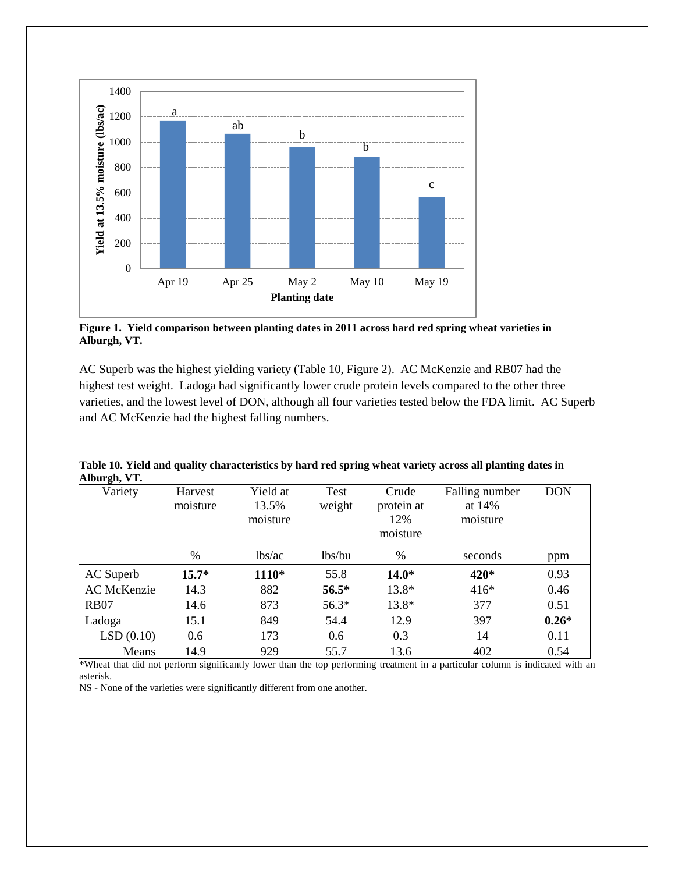

**Figure 1. Yield comparison between planting dates in 2011 across hard red spring wheat varieties in Alburgh, VT.**

AC Superb was the highest yielding variety (Table 10, Figure 2). AC McKenzie and RB07 had the highest test weight. Ladoga had significantly lower crude protein levels compared to the other three varieties, and the lowest level of DON, although all four varieties tested below the FDA limit. AC Superb and AC McKenzie had the highest falling numbers.

| лими ди, у т.      |                     |                               |                |                                        |                                      |            |
|--------------------|---------------------|-------------------------------|----------------|----------------------------------------|--------------------------------------|------------|
| Variety            | Harvest<br>moisture | Yield at<br>13.5%<br>moisture | Test<br>weight | Crude<br>protein at<br>12%<br>moisture | Falling number<br>at 14%<br>moisture | <b>DON</b> |
|                    | %                   | lbs/ac                        | lbs/bu         | $\%$                                   | seconds                              | ppm        |
| AC Superb          | $15.7*$             | 1110*                         | 55.8           | $14.0*$                                | $420*$                               | 0.93       |
| <b>AC</b> McKenzie | 14.3                | 882                           | $56.5*$        | 13.8*                                  | $416*$                               | 0.46       |
| <b>RB07</b>        | 14.6                | 873                           | $56.3*$        | 13.8*                                  | 377                                  | 0.51       |
| Ladoga             | 15.1                | 849                           | 54.4           | 12.9                                   | 397                                  | $0.26*$    |
| LSD(0.10)          | 0.6                 | 173                           | 0.6            | 0.3                                    | 14                                   | 0.11       |
| Means              | 14.9                | 929                           | 55.7           | 13.6                                   | 402                                  | 0.54       |

**Table 10. Yield and quality characteristics by hard red spring wheat variety across all planting dates in Alburgh, VT.**

\*Wheat that did not perform significantly lower than the top performing treatment in a particular column is indicated with an asterisk.

NS - None of the varieties were significantly different from one another.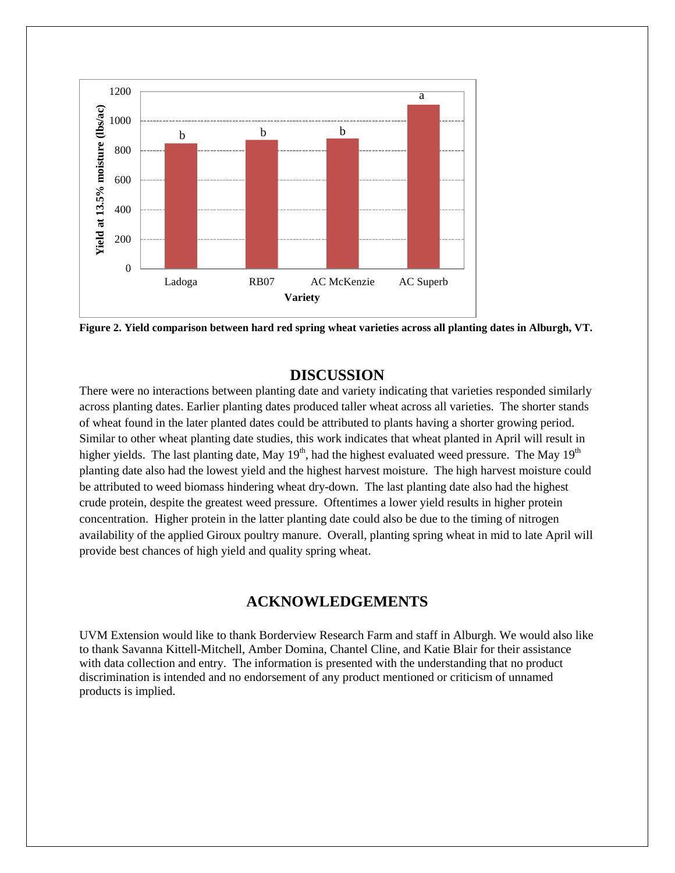

**Figure 2. Yield comparison between hard red spring wheat varieties across all planting dates in Alburgh, VT.**

### **DISCUSSION**

There were no interactions between planting date and variety indicating that varieties responded similarly across planting dates. Earlier planting dates produced taller wheat across all varieties. The shorter stands of wheat found in the later planted dates could be attributed to plants having a shorter growing period. Similar to other wheat planting date studies, this work indicates that wheat planted in April will result in higher yields. The last planting date, May 19<sup>th</sup>, had the highest evaluated weed pressure. The May 19<sup>th</sup> planting date also had the lowest yield and the highest harvest moisture. The high harvest moisture could be attributed to weed biomass hindering wheat dry-down. The last planting date also had the highest crude protein, despite the greatest weed pressure. Oftentimes a lower yield results in higher protein concentration. Higher protein in the latter planting date could also be due to the timing of nitrogen availability of the applied Giroux poultry manure. Overall, planting spring wheat in mid to late April will provide best chances of high yield and quality spring wheat.

# **ACKNOWLEDGEMENTS**

UVM Extension would like to thank Borderview Research Farm and staff in Alburgh. We would also like to thank Savanna Kittell-Mitchell, Amber Domina, Chantel Cline, and Katie Blair for their assistance with data collection and entry. The information is presented with the understanding that no product discrimination is intended and no endorsement of any product mentioned or criticism of unnamed products is implied.